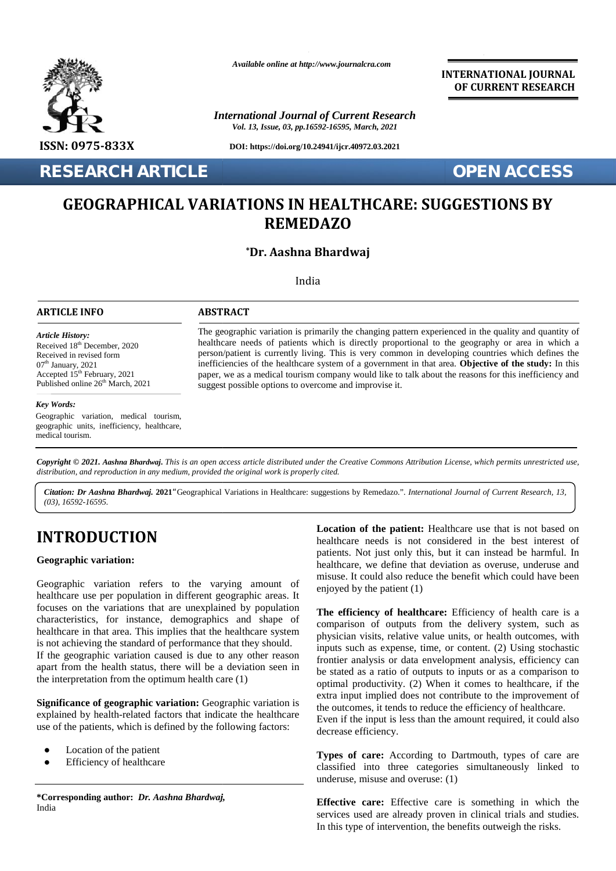

*Available online at http://www.journalcra.com*

*International Journal of Current Research Vol. 13, Issue, 03, pp.16592-16595, March, 2021*

**DOI: https://doi.org/10.24941/ijcr.40972.03.2021**

**RESEARCH ARTICLE OPEN ACCESS**

**INTERNATIONAL JOURNAL OF CURRENT RESEARCH**

## **GEOGRAPHICAL VARIATIONS IN HEALTHCARE: SUGGESTIONS BY GEOGRAPHICAL REMEDAZO**

#### **\*Dr. Aashna Bhardwaj**

India

#### **ARTICLE INFO ABSTRACT ARTICLE ABSTRACT**

*Article History: Article History:* Received  $18<sup>th</sup>$  December, 2020 Received 18<sup>--</sup> December, 2020<br>Received in revised form<br>07<sup>th</sup> January, 2021<br>Accepted 15<sup>th</sup> February, 2021  $07<sup>th</sup>$  January, 2021 Accepted  $15^{th}$  February, 2021 p. Published online  $26<sup>th</sup>$  March, 2021

#### *Key Words: Key Words:*

Exercises.<br>
Research cancer cancer can cancer can be contributed to the Constant Constant Constant Constant Constant Constant Constant Constant Constant Constant Constant Constant Constant Constant Constant Constant Consta geographic units, inefficiency, healthcare, medical tourism.

The geographic variation is primarily the changing pattern experienced in the quality and quantity of healthcare needs of patients which is directly proportional to the geography or area in which a person/patient is currently living. This is very common in developing countries which defines the inefficiencies of the healthcare system of a government in that area. **Objective of the study:** In this paper, we as a medical tourism company would like to talk about the reasons for this inefficiency and suggest possible options to overcome and improvise it. healthcare needs of patients which is directly proportional to the geography or area in which a person/patient is currently living. This is very common in developing countries which defines the inefficiencies of the health **ARCH ARTICLE**<br> **OPEN ACCESS**<br> **OGRAPHICAL VARIATIONS IN HEALTHCARE: SUGGESTIONS BY**<br> **REMEDAZO**<br>
<sup>**TDr. Aashna Bhardwaj**<br>
<sup>10dia</sup><br>
<sup>10dia</sup><br>
<sup>10dia</sup><br> **PDREMEDAZO**<br> **PDREMEDAZO**<br> **PDREMEDAZO**<br> **PDREMEDAZO**<br> **PDREMEDAZO**<br> **P</sup>** the different of patients<br>
din revised form<br>
din revised form<br>
nary, 2021<br>
d 15<sup>th</sup> February, 2021<br>
d 15<sup>th</sup> February, 2021<br>
d online 26<sup>th</sup> March, 2021<br>
donline 26<sup>th</sup> March, 2021<br>
donline 26<sup>th</sup> March, 2021<br>
donline 26<sup>t</sup>

**Copyright © 2021. Aashna Bhardwaj.** This is an open access article distributed under the Creative Commons Attribution License, which permits unrestricted use,<br>distribution, and reproduction in any medium, provided the ori *distribution, and reproduction in any medium, provided the original work is properly cited.*

Citation: Dr Aashna Bhardwaj. 2021 "Geographical Variations in Healthcare: suggestions by Remedazo.". International Journal of Current Research, 13, *(03), 16592-16595.*

## **INTRODUCTION INTRODUCTION**

#### **Geographic variation: Geographic**

Geographic variation refers to the varying amount of Geographic variation refers to the varying amount of  $\epsilon$  healthcare use per population in different geographic areas. It focuses on the variations that are unexplained by population characteristics, for instance, demographics and shape of  $\overline{C}$ healthcare in that area. This implies that the healthcare system is not achieving the standard of performance that they should. If the geographic variation caused is due to any other reason apart from the health status, there will be a deviation seen in the interpretation from the optimum health care (1) focuses on the variations that are unexplained by population<br>characteristics, for instance, demographics and shape of<br>healthcare in that area. This implies that the healthcare system<br>is not achieving the standard of perfor

**Significance of geographic variation:** Geographic variation is explained by health-related factors that indicate the healthcare  $E_{VQ}$ use of the patients, which is defined by the following factors: **Significance of geographic variation:** Geographic variation explained by health-related factors that indicate the healthca use of the patients, which is defined by the following factors:<br>Location of the patient by

Location of the patient Efficiency of healthcare

**\*Corresponding author:** *Dr. Aashna Bhardwaj,* **\*Corresponding** India

**Location of the patient:** Healthcare use that is not based on healthcare needs is not considered in the best interest of patients. Not just only this, but it can instead be harmful. In healthcare, we define that deviation as overuse, underuse and misuse. It could also reduce the benefit which could have been enjoyed by the patient (1)

**The efficiency of healthcare:** Efficiency of health care is a comparison of outputs from the delivery system, such as physician visits, relative value units, or health outcomes, with inputs such as expense, time, or content. (2) Using stochastic frontier analysis or data envelopment analysis, efficiency can be stated as a ratio of outputs to inputs or as a comparison to optimal productivity. (2) When it comes to healthcare, if the extra input implied does not contribute to the improvement of the outcomes, it tends to reduce the efficiency of healthcare. Receive a likeling research of priori products and spin the state of priori is easily a proportional in the state of priori between the state of priori and the state of the state of the state of the state of the state of

Even if the input is less than the amount required, it could also decrease efficiency.

**Types of care:** According to Dartmouth, types of care are classified into three categories simultaneously linked to underuse, misuse and overuse: (1)

**Effective care:** Effective care is something in which the services used are already proven in clinical trials and studies. In this type of intervention, the benefits outweigh the risks.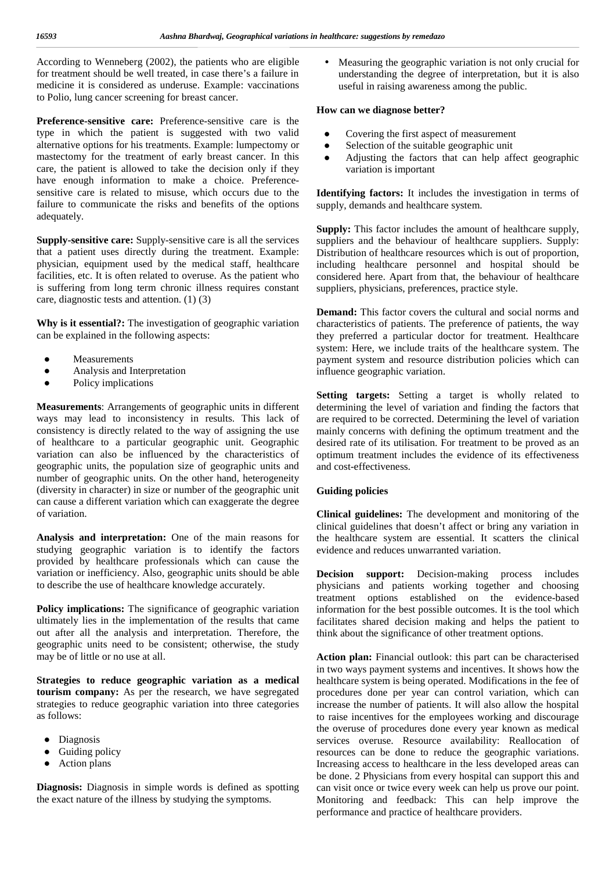According to Wenneberg (2002), the patients who are eligible for treatment should be well treated, in case there's a failure in medicine it is considered as underuse. Example: vaccinations to Polio, lung cancer screening for breast cancer.

**Preference-sensitive care:** Preference-sensitive care is the type in which the patient is suggested with two valid alternative options for his treatments. Example: lumpectomy or mastectomy for the treatment of early breast cancer. In this care, the patient is allowed to take the decision only if they have enough information to make a choice. Preferencesensitive care is related to misuse, which occurs due to the failure to communicate the risks and benefits of the options adequately.

**Supply-sensitive care:** Supply-sensitive care is all the services that a patient uses directly during the treatment. Example: physician, equipment used by the medical staff, healthcare facilities, etc. It is often related to overuse. As the patient who is suffering from long term chronic illness requires constant care, diagnostic tests and attention. (1) (3)

**Why is it essential?:** The investigation of geographic variation can be explained in the following aspects:

> Measurements Analysis and Interpretation Policy implications

**Measurements**: Arrangements of geographic units in different ways may lead to inconsistency in results. This lack of consistency is directly related to the way of assigning the use of healthcare to a particular geographic unit. Geographic variation can also be influenced by the characteristics of geographic units, the population size of geographic units and number of geographic units. On the other hand, heterogeneity (diversity in character) in size or number of the geographic unit can cause a different variation which can exaggerate the degree of variation.

**Analysis and interpretation:** One of the main reasons for studying geographic variation is to identify the factors provided by healthcare professionals which can cause the variation or inefficiency. Also, geographic units should be able to describe the use of healthcare knowledge accurately.

**Policy implications:** The significance of geographic variation ultimately lies in the implementation of the results that came out after all the analysis and interpretation. Therefore, the geographic units need to be consistent; otherwise, the study may be of little or no use at all.

**Strategies to reduce geographic variation as a medical tourism company:** As per the research, we have segregated strategies to reduce geographic variation into three categories as follows:

Diagnosis Guiding policy Action plans

**Diagnosis:** Diagnosis in simple words is defined as spotting the exact nature of the illness by studying the symptoms.

 Measuring the geographic variation is not only crucial for understanding the degree of interpretation, but it is also useful in raising awareness among the public.

#### **How can we diagnose better?**

Covering the first aspect of measurement Selection of the suitable geographic unit Adjusting the factors that can help affect geographic variation is important

**Identifying factors:** It includes the investigation in terms of supply, demands and healthcare system.

**Supply:** This factor includes the amount of healthcare supply, suppliers and the behaviour of healthcare suppliers. Supply: Distribution of healthcare resources which is out of proportion, including healthcare personnel and hospital should be considered here. Apart from that, the behaviour of healthcare suppliers, physicians, preferences, practice style.

**Demand:** This factor covers the cultural and social norms and characteristics of patients. The preference of patients, the way they preferred a particular doctor for treatment. Healthcare system: Here, we include traits of the healthcare system. The payment system and resource distribution policies which can influence geographic variation.

**Setting targets:** Setting a target is wholly related to determining the level of variation and finding the factors that are required to be corrected. Determining the level of variation mainly concerns with defining the optimum treatment and the desired rate of its utilisation. For treatment to be proved as an optimum treatment includes the evidence of its effectiveness and cost-effectiveness.

#### **Guiding policies**

**Clinical guidelines:** The development and monitoring of the clinical guidelines that doesn't affect or bring any variation in the healthcare system are essential. It scatters the clinical evidence and reduces unwarranted variation.

**Decision support:** Decision-making process includes physicians and patients working together and choosing treatment options established on the evidence-based information for the best possible outcomes. It is the tool which facilitates shared decision making and helps the patient to think about the significance of other treatment options.

**Action plan:** Financial outlook: this part can be characterised in two ways payment systems and incentives. It shows how the healthcare system is being operated. Modifications in the fee of procedures done per year can control variation, which can increase the number of patients. It will also allow the hospital to raise incentives for the employees working and discourage the overuse of procedures done every year known as medical services overuse. Resource availability: Reallocation of resources can be done to reduce the geographic variations. Increasing access to healthcare in the less developed areas can be done. 2 Physicians from every hospital can support this and can visit once or twice every week can help us prove our point. Monitoring and feedback: This can help improve the performance and practice of healthcare providers.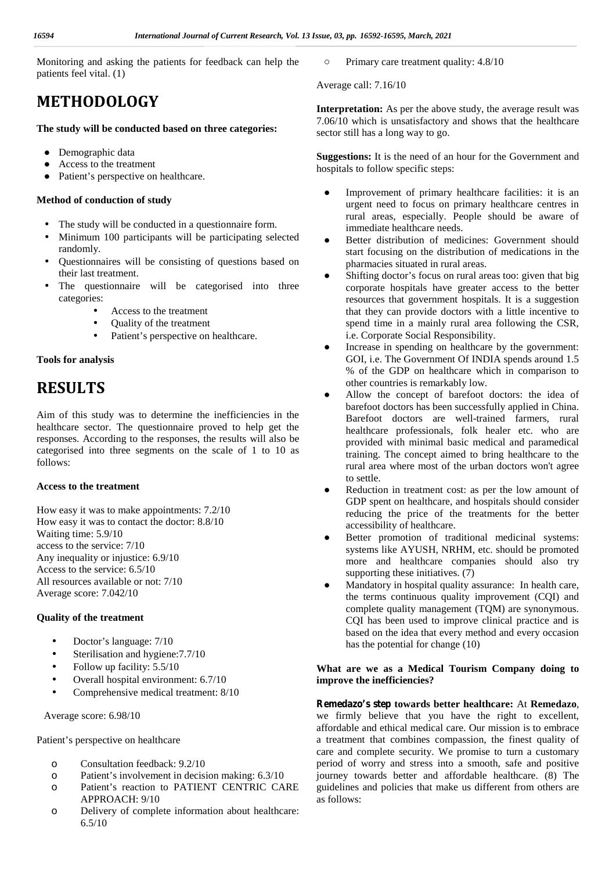Monitoring and asking the patients for feedback can help the patients feel vital. (1)

# **METHODOLOGY**

#### **The study will be conducted based on three categories:**

Demographic data Access to the treatment Patient's perspective on healthcare.

#### **Method of conduction of study**

- The study will be conducted in a questionnaire form.
- Minimum 100 participants will be participating selected randomly.
- Questionnaires will be consisting of questions based on their last treatment.
- The questionnaire will be categorised into three categories:
	- Access to the treatment
	- Quality of the treatment
	- Patient's perspective on healthcare.

#### **Tools for analysis**

## **RESULTS**

Aim of this study was to determine the inefficiencies in the healthcare sector. The questionnaire proved to help get the responses. According to the responses, the results will also be categorised into three segments on the scale of 1 to 10 as follows:

#### **Access to the treatment**

How easy it was to make appointments: 7.2/10 How easy it was to contact the doctor: 8.8/10 Waiting time: 5.9/10 access to the service: 7/10 Any inequality or injustice: 6.9/10 Access to the service: 6.5/10 All resources available or not: 7/10 Average score: 7.042/10

#### **Quality of the treatment**

- Doctor's language: 7/10
- Sterilisation and hygiene:7.7/10
- Follow up facility: 5.5/10
- Overall hospital environment: 6.7/10
- Comprehensive medical treatment: 8/10

Average score: 6.98/10

Patient's perspective on healthcare

- o Consultation feedback: 9.2/10
- o Patient's involvement in decision making: 6.3/10
- o Patient's reaction to PATIENT CENTRIC CARE APPROACH: 9/10
- o Delivery of complete information about healthcare: 6.5/10

Primary care treatment quality: 4.8/10

Average call: 7.16/10

**Interpretation:** As per the above study, the average result was 7.06/10 which is unsatisfactory and shows that the healthcare sector still has a long way to go.

**Suggestions:** It is the need of an hour for the Government and hospitals to follow specific steps:

> Improvement of primary healthcare facilities: it is an urgent need to focus on primary healthcare centres in rural areas, especially. People should be aware of immediate healthcare needs.

> Better distribution of medicines: Government should start focusing on the distribution of medications in the pharmacies situated in rural areas.

> Shifting doctor's focus on rural areas too: given that big corporate hospitals have greater access to the better resources that government hospitals. It is a suggestion that they can provide doctors with a little incentive to spend time in a mainly rural area following the CSR, i.e. Corporate Social Responsibility.

> Increase in spending on healthcare by the government: GOI, i.e. The Government Of INDIA spends around 1.5 % of the GDP on healthcare which in comparison to other countries is remarkably low.

> Allow the concept of barefoot doctors: the idea of barefoot doctors has been successfully applied in China. Barefoot doctors are well-trained farmers, rural healthcare professionals, folk healer etc. who are provided with minimal basic medical and paramedical training. The concept aimed to bring healthcare to the rural area where most of the urban doctors won't agree to settle.

> Reduction in treatment cost: as per the low amount of GDP spent on healthcare, and hospitals should consider reducing the price of the treatments for the better accessibility of healthcare.

> Better promotion of traditional medicinal systems: systems like AYUSH, NRHM, etc. should be promoted more and healthcare companies should also try supporting these initiatives.  $(7)$

> Mandatory in hospital quality assurance: In health care, the terms continuous quality improvement (CQI) and complete quality management (TQM) are synonymous. CQI has been used to improve clinical practice and is based on the idea that every method and every occasion has the potential for change (10)

#### **What are we as a Medical Tourism Company doing to improve the inefficiencies?**

**Remedazo's step towards better healthcare:** At **Remedazo**, we firmly believe that you have the right to excellent, affordable and ethical medical care. Our mission is to embrace a treatment that combines compassion, the finest quality of care and complete security. We promise to turn a customary period of worry and stress into a smooth, safe and positive journey towards better and affordable healthcare. (8) The guidelines and policies that make us different from others are as follows: